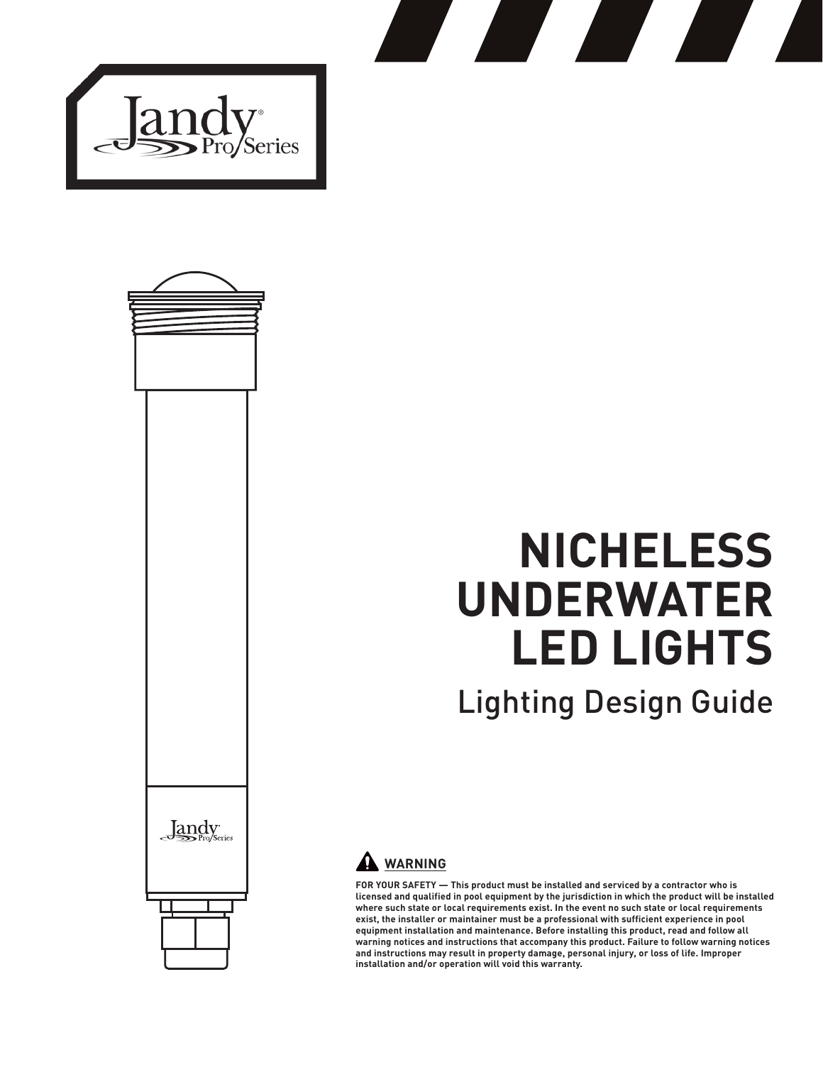

# **Jandy**

# **NICHELESS UNDERWATER LED LIGHTS**

L

## Lighting Design Guide



**FOR YOUR SAFETY — This product must be installed and serviced by a contractor who is licensed and qualified in pool equipment by the jurisdiction in which the product will be installed where such state or local requirements exist. In the event no such state or local requirements exist, the installer or maintainer must be a professional with sufficient experience in pool equipment installation and maintenance. Before installing this product, read and follow all warning notices and instructions that accompany this product. Failure to follow warning notices and instructions may result in property damage, personal injury, or loss of life. Improper installation and/or operation will void this warranty.**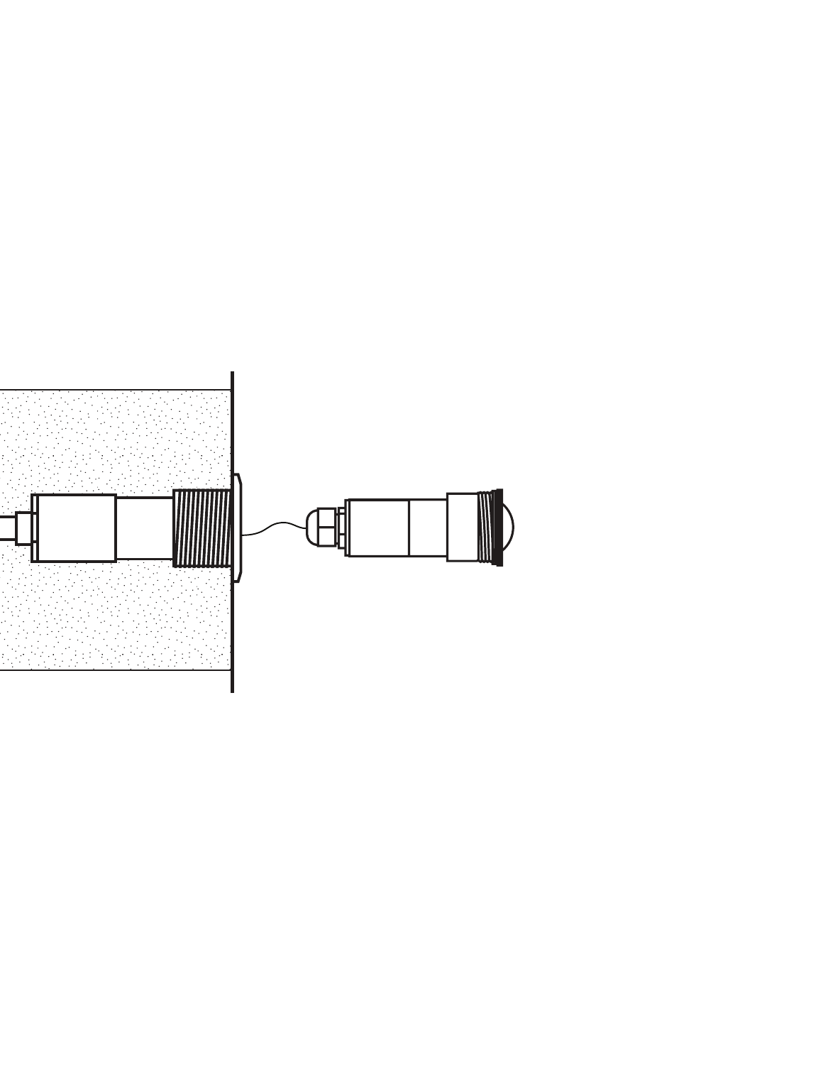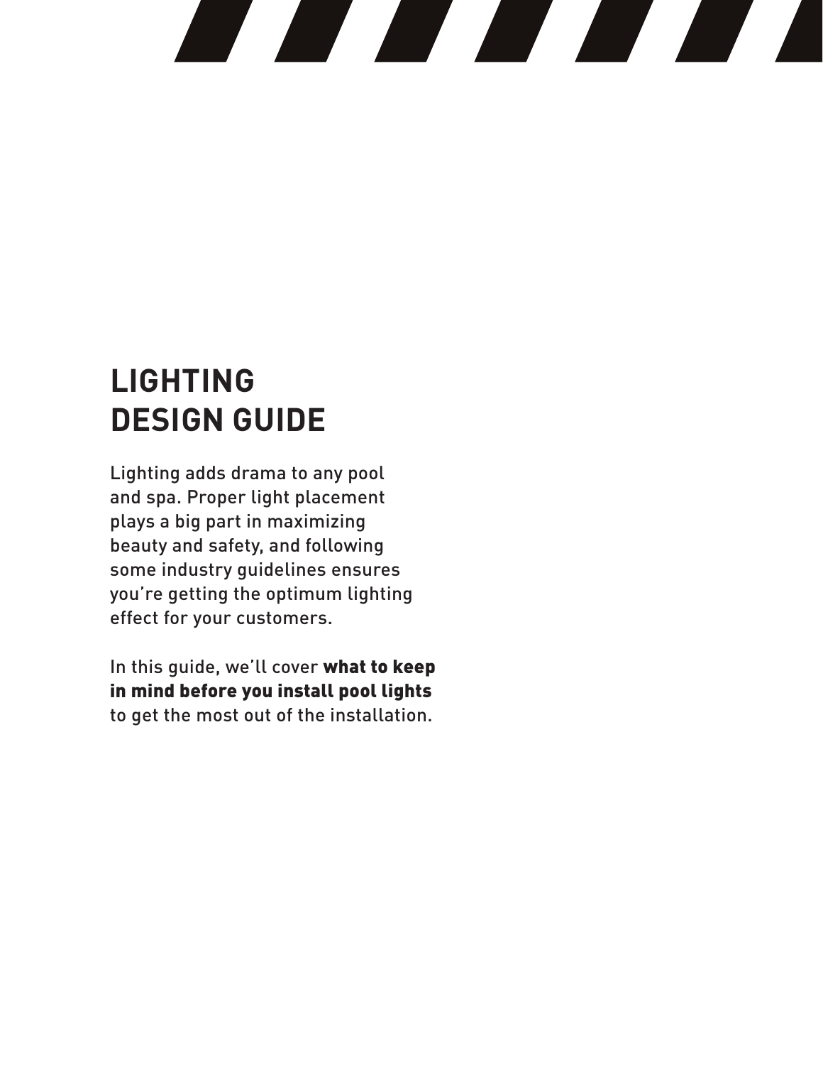# **STATISTICS**

### **LIGHTING DESIGN GUIDE**

Lighting adds drama to any pool and spa. Proper light placement plays a big part in maximizing beauty and safety, and following some industry guidelines ensures you're getting the optimum lighting effect for your customers.

In this quide, we'll cover what to keep in mind before you install pool lights to get the most out of the installation.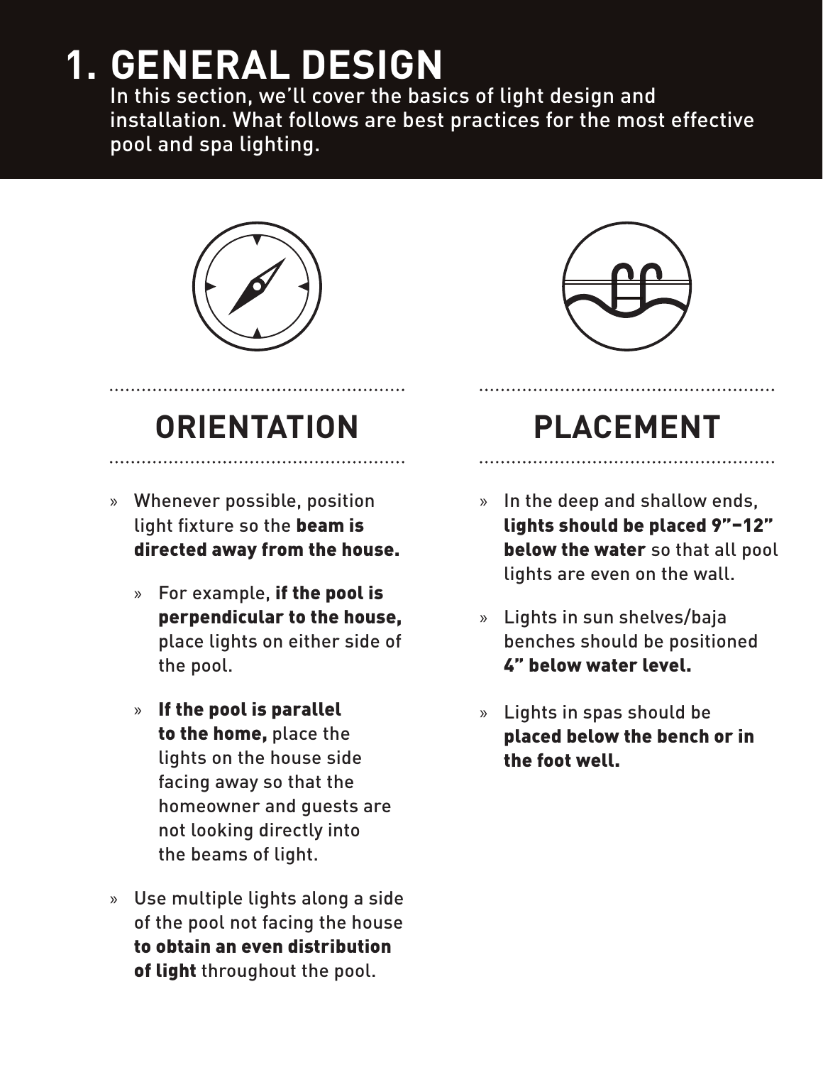### **GENERAL DESIGN 1.**

In this section, we'll cover the basics of light design and installation. What follows are best practices for the most effective pool and spa lighting.



# **ORIENTATION PLACEMENT**

- » Whenever possible, position light fixture so the beam is directed away from the house.
	- » For example, if the pool is perpendicular to the house, place lights on either side of the pool.
	- » If the pool is parallel to the home, place the lights on the house side facing away so that the homeowner and guests are not looking directly into the beams of light.
- » Use multiple lights along a side of the pool not facing the house to obtain an even distribution of light throughout the pool.



- » In the deep and shallow ends, lights should be placed 9"–12" below the water so that all pool lights are even on the wall.
- » Lights in sun shelves/baja benches should be positioned 4" below water level.
- » Lights in spas should be placed below the bench or in the foot well.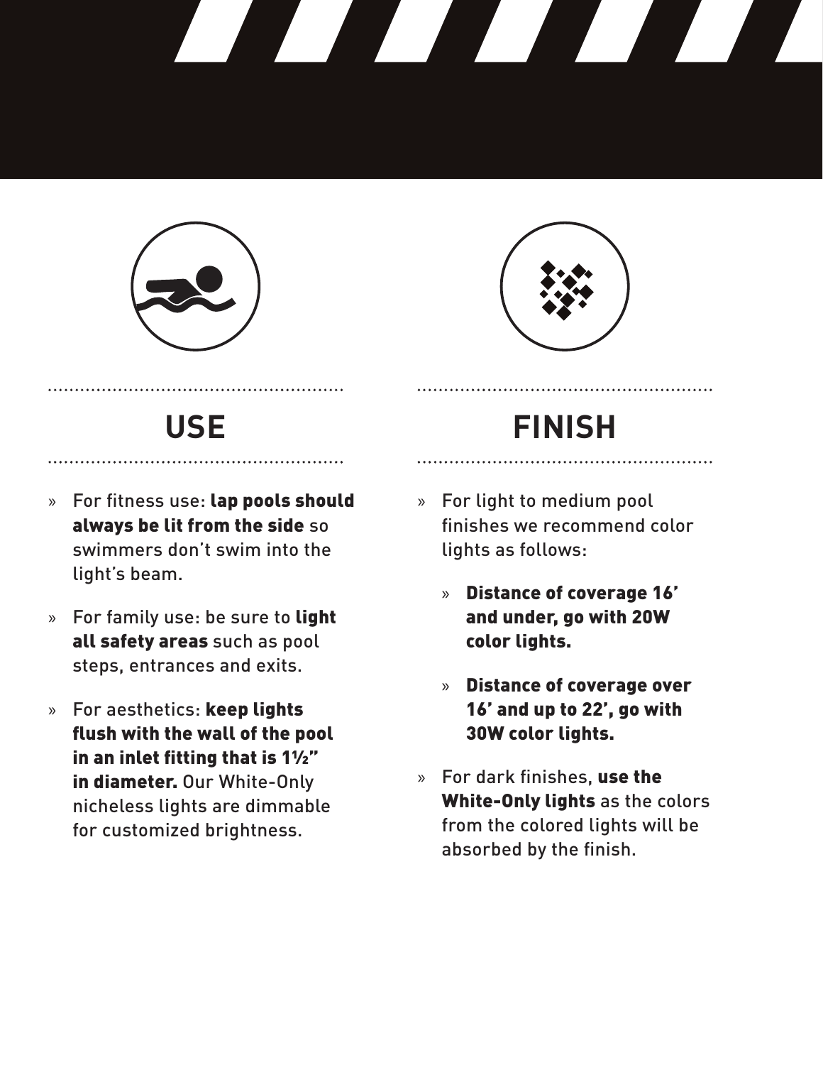

- » For fitness use: lap pools should always be lit from the side so swimmers don't swim into the light's beam.
- » For family use: be sure to light all safety areas such as pool steps, entrances and exits.
- » For aesthetics: keep lights flush with the wall of the pool in an inlet fitting that is 1½" in diameter. Our White-Only nicheless lights are dimmable for customized brightness.



## **USE FINISH**

- » For light to medium pool finishes we recommend color lights as follows:
	- » Distance of coverage 16' and under, go with 20W color lights.
	- » Distance of coverage over 16' and up to 22', go with 30W color lights.
- » For dark finishes, use the White-Only lights as the colors from the colored lights will be absorbed by the finish.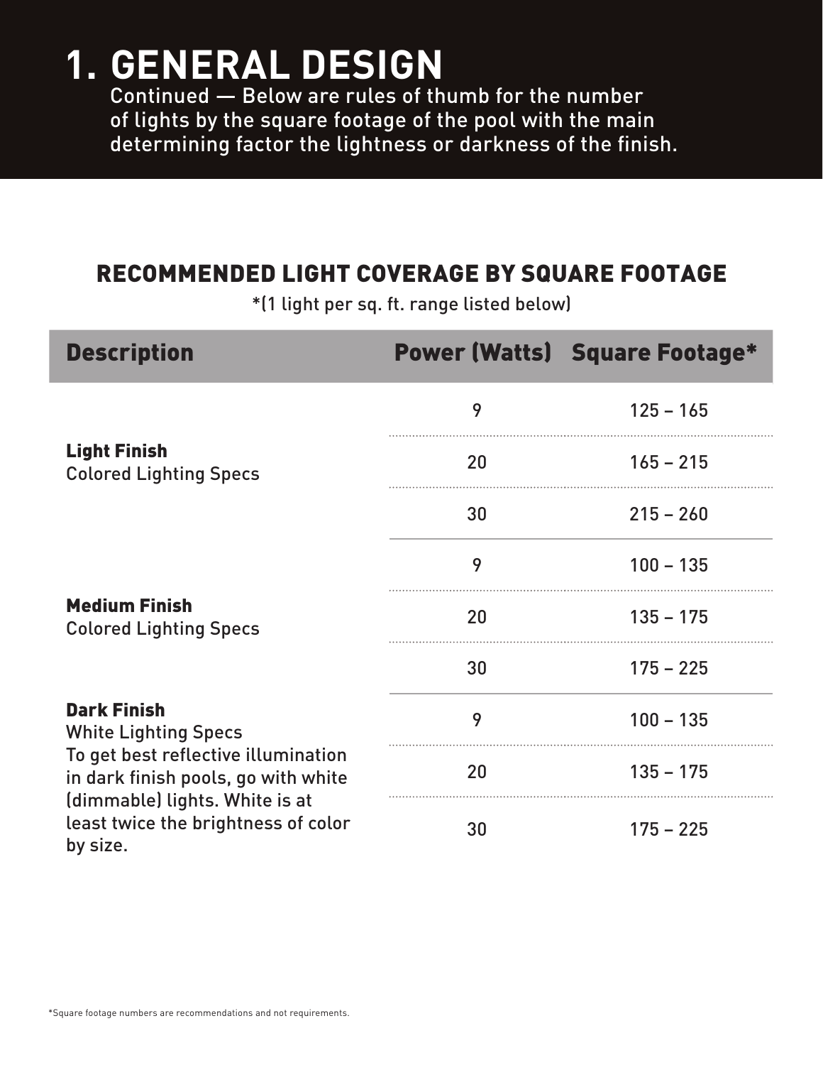# **1. GENERAL DESIGN**

Continued — Below are rules of thumb for the number of lights by the square footage of the pool with the main determining factor the lightness or darkness of the finish.

### RECOMMENDED LIGHT COVERAGE BY SQUARE FOOTAGE

\*(1 light per sq. ft. range listed below)

| <b>Description</b>                                                                                                                                                                                                   |    | <b>Power (Watts) Square Footage*</b> |
|----------------------------------------------------------------------------------------------------------------------------------------------------------------------------------------------------------------------|----|--------------------------------------|
| <b>Light Finish</b><br><b>Colored Lighting Specs</b>                                                                                                                                                                 | 9  | $125 - 165$                          |
|                                                                                                                                                                                                                      | 20 | $165 - 215$                          |
|                                                                                                                                                                                                                      | 30 | $215 - 260$                          |
| <b>Medium Finish</b><br><b>Colored Lighting Specs</b>                                                                                                                                                                | 9  | $100 - 135$                          |
|                                                                                                                                                                                                                      | 20 | $135 - 175$                          |
|                                                                                                                                                                                                                      | 30 | $175 - 225$                          |
| <b>Dark Finish</b><br><b>White Lighting Specs</b><br>To get best reflective illumination<br>in dark finish pools, go with white<br>(dimmable) lights. White is at<br>least twice the brightness of color<br>by size. | 9  | $100 - 135$                          |
|                                                                                                                                                                                                                      | 20 | $135 - 175$                          |
|                                                                                                                                                                                                                      | 30 | $175 - 225$                          |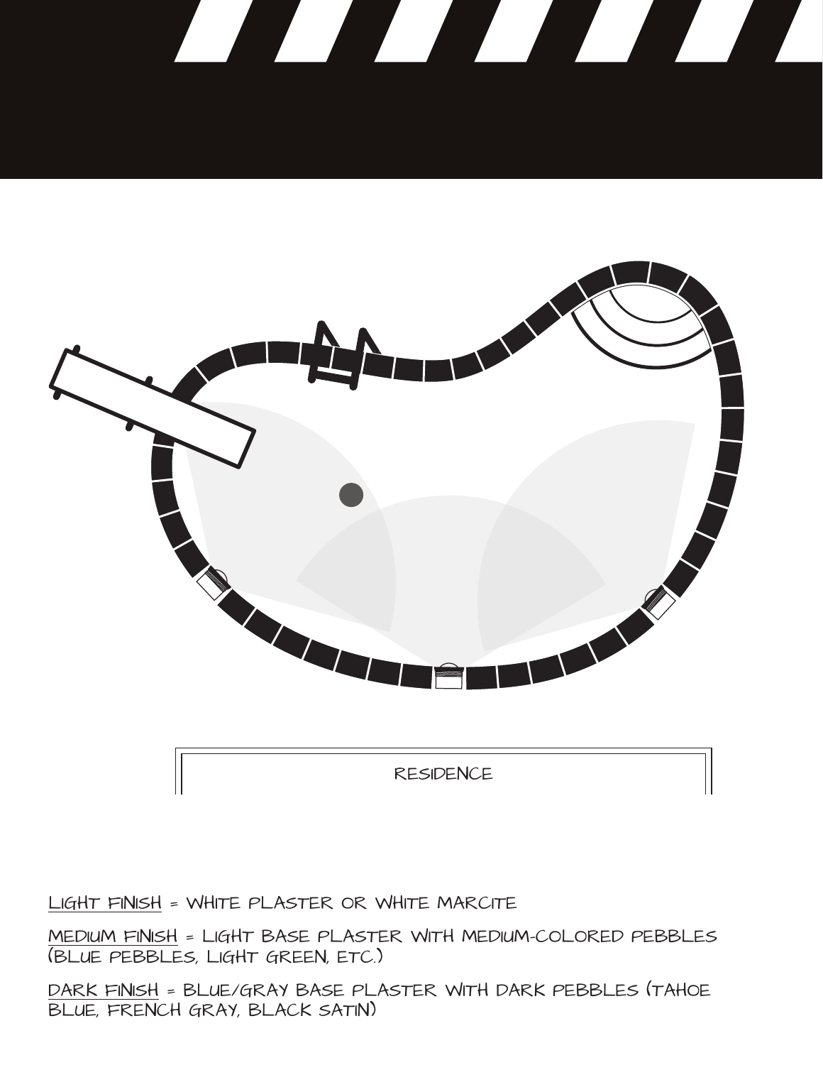

RESIDENCE

LIGHT FINISH = WHITE PLASTER OR WHITE MARCITE

MEDIUM FINISH = LIGHT BASE PLASTER WITH MEDIUM-COLORED PEBBLES (BLUE PEBBLES, LIGHT GREEN, ETC.)

DARK FINISH = BLUE/GRAY BASE PLASTER WITH DARK PEBBLES (TAHOE BLUE, FRENCH GRAY, BLACK SATIN)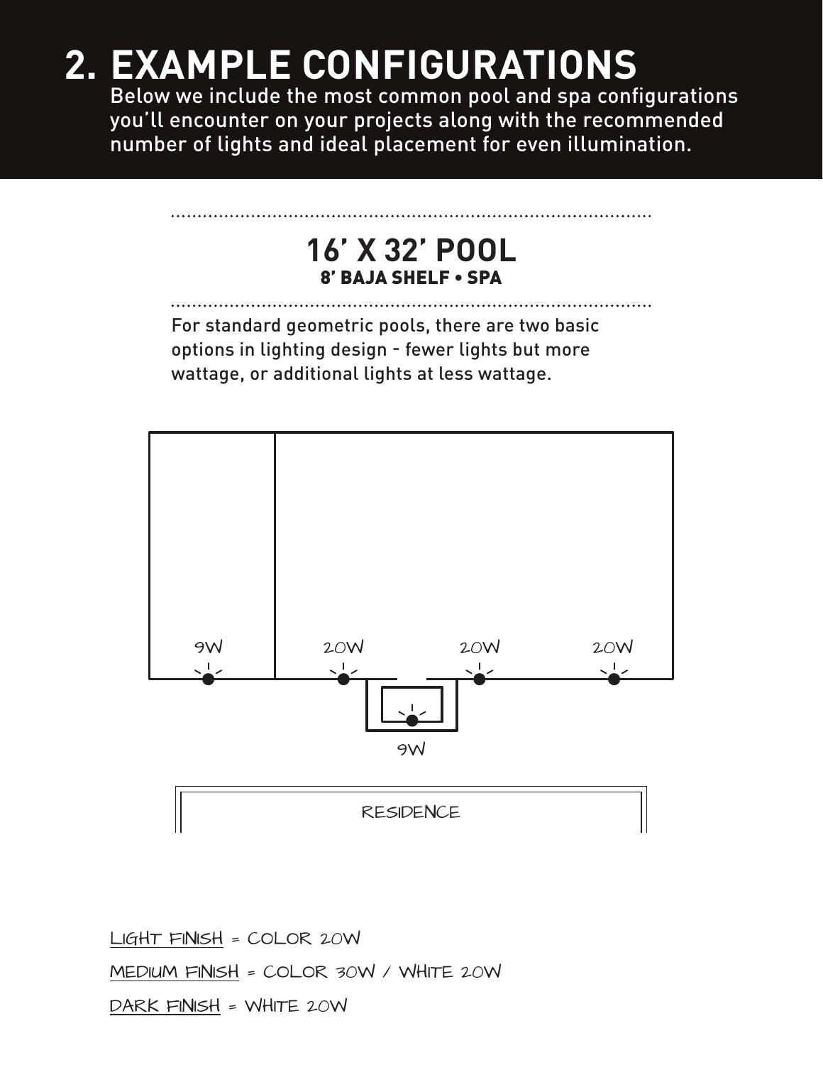# **EXAMPLE CONFIGURATIONS 2.**

Below we include the most common pool and spa configurations you'll encounter on your projects along with the recommended number of lights and ideal placement for even illumination.







LIGHT FINISH = COLOR 20W MEDIUM FINISH = COLOR 30W / WHITE 20W DARK FINISH = WHITE 20W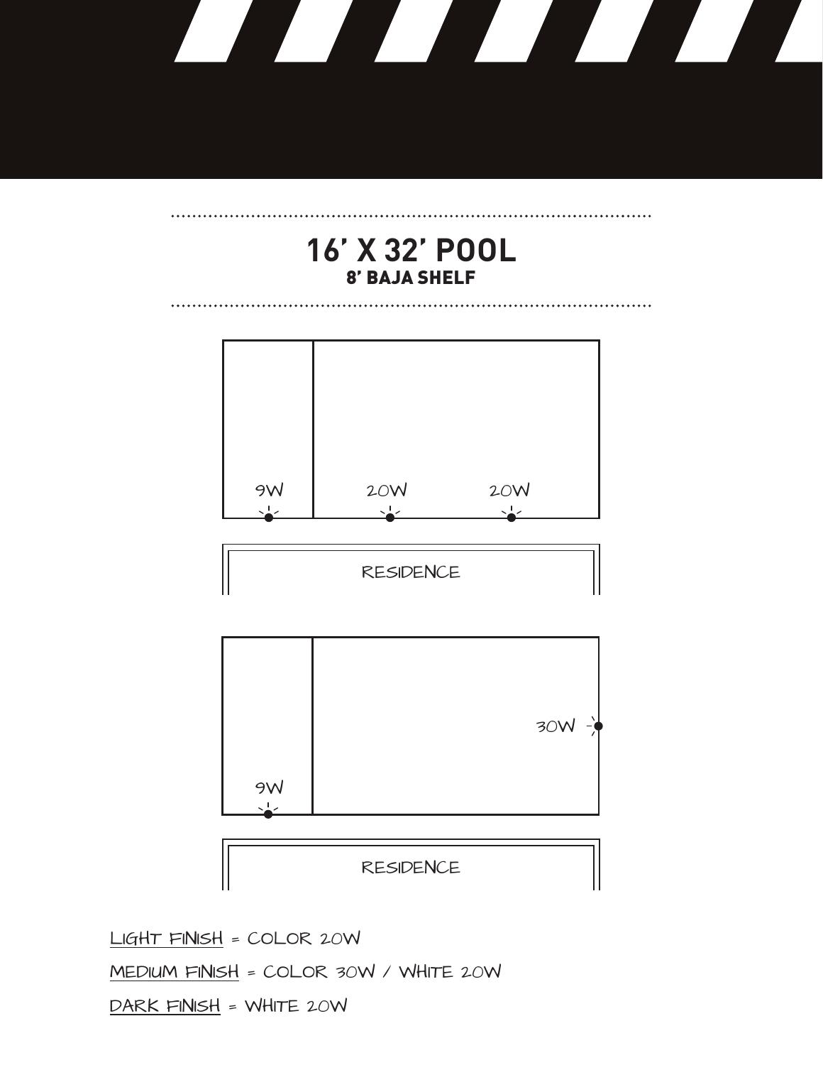LIGHT FINISH = COLOR 20W MEDIUM FINISH = COLOR 30W / WHITE 20W DARK FINISH = WHITE 20W









### **16' X 32' POOL** 8' BAJA SHELF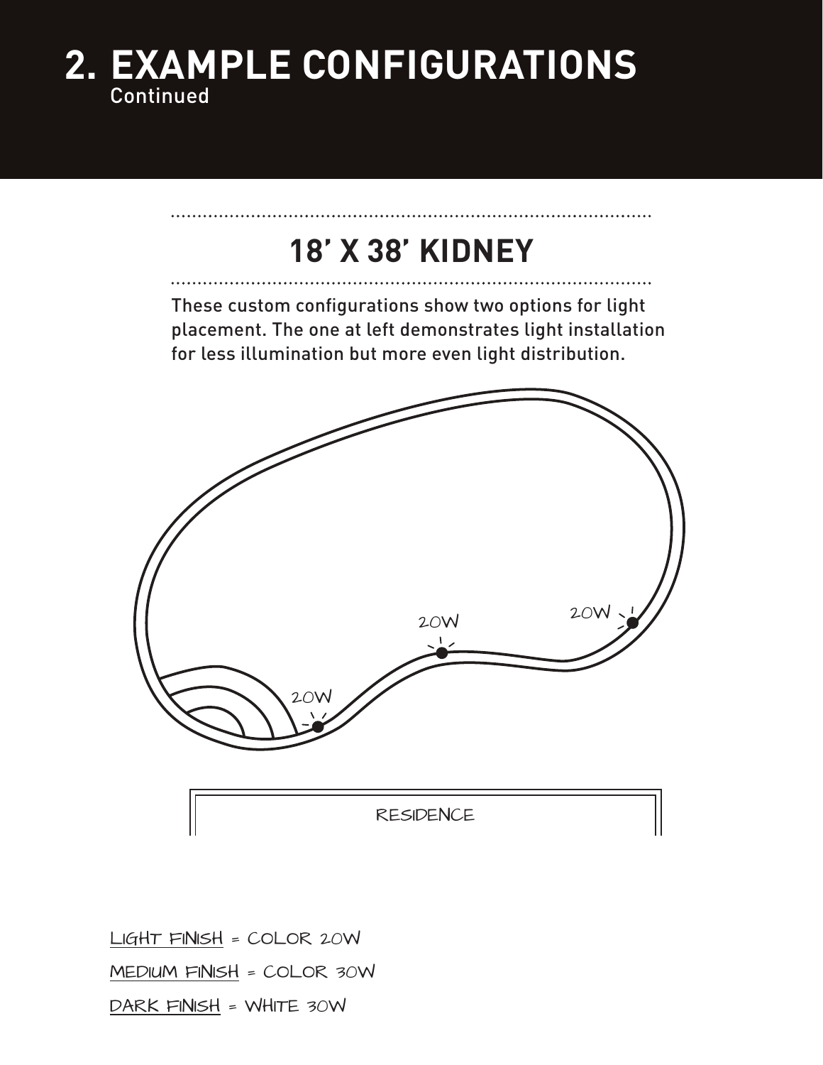### **EXAMPLE CONFIGURATIONS 2. Continued**



LIGHT FINISH = COLOR 20W MEDIUM FINISH = COLOR 30W DARK FINISH = WHITE 30W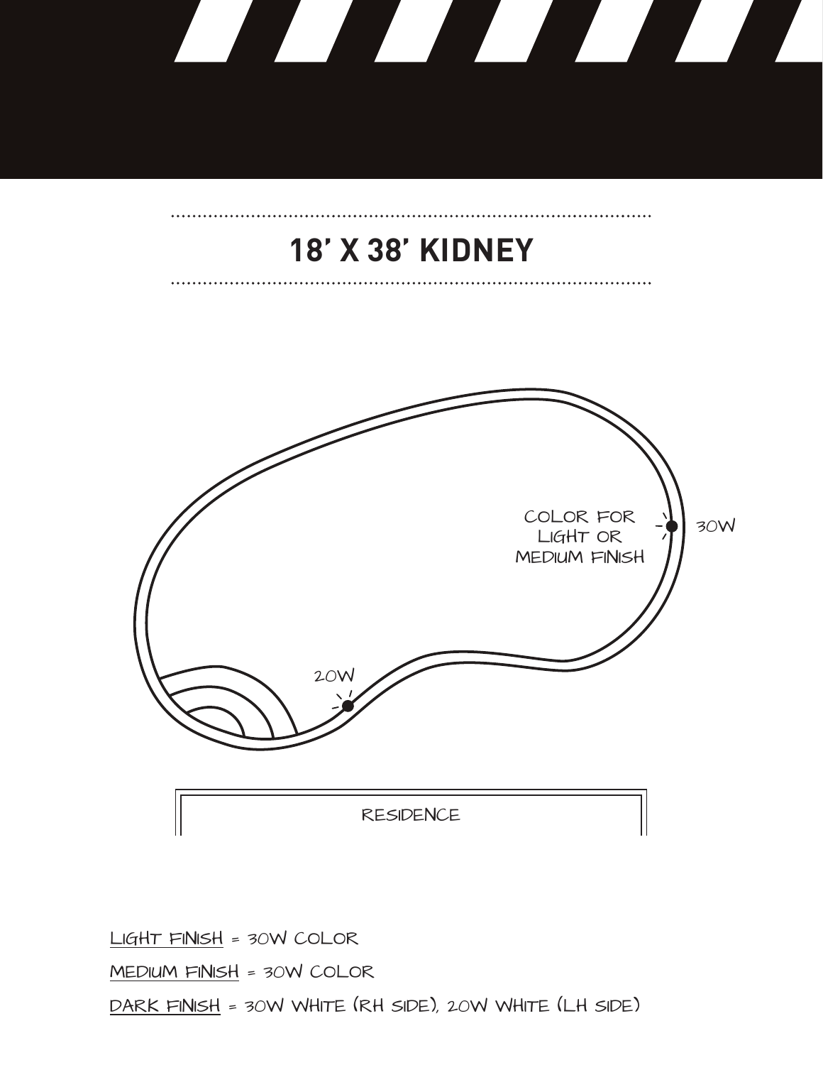

LIGHT FINISH = 30W COLOR MEDIUM FINISH = 30W COLOR DARK FINISH = 30W WHITE (RH SIDE), 20W WHITE (LH SIDE)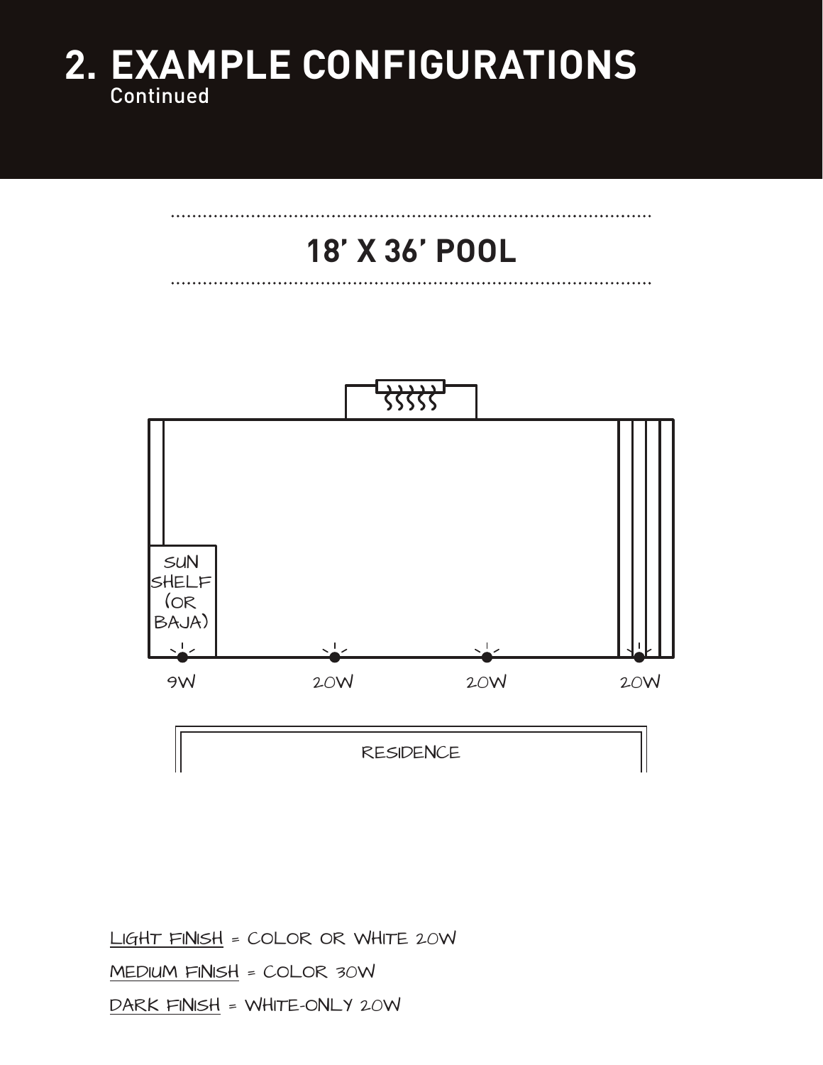### **EXAMPLE CONFIGURATIONS 2.**  Continued



LIGHT FINISH = COLOR OR WHITE 20W MEDIUM FINISH = COLOR 30W DARK FINISH = WHITE-ONLY 20W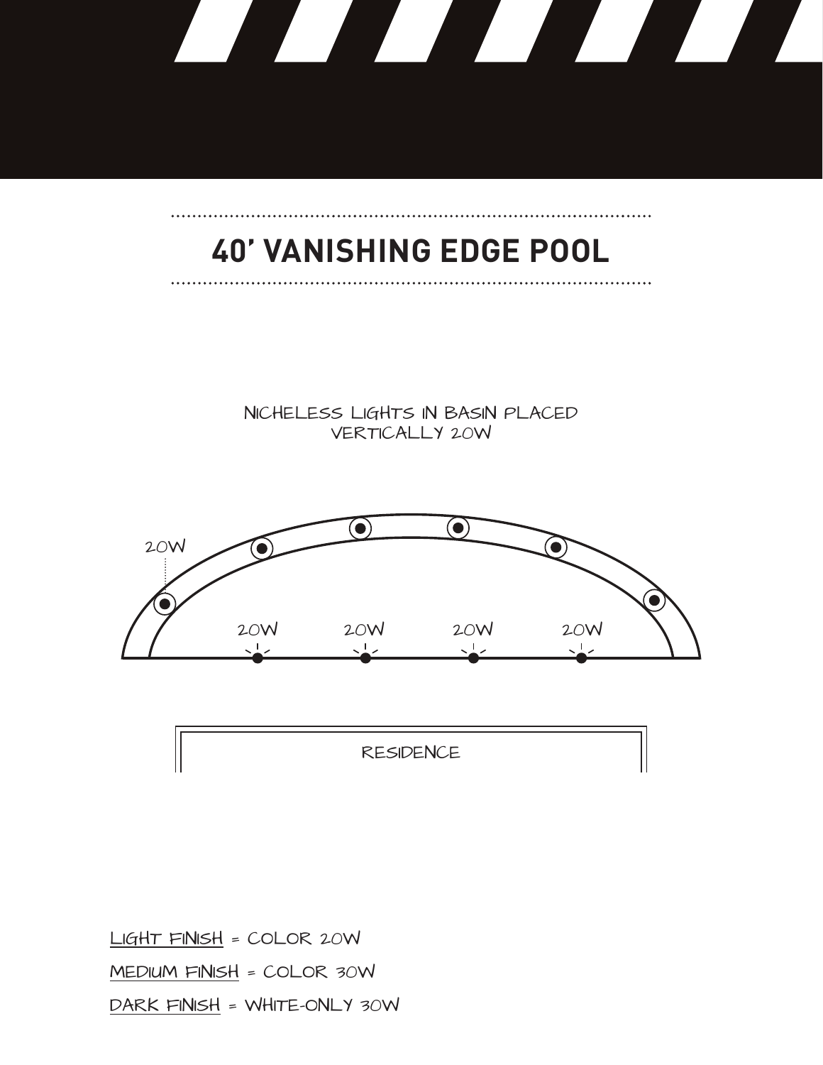

### **40' VANISHING EDGE POOL**

NICHELESS LIGHTS IN BASIN PLACED VERTICALLY 20W



RESIDENCE

LIGHT FINISH = COLOR 20W MEDIUM FINISH = COLOR 30W DARK FINISH = WHITE-ONLY 30W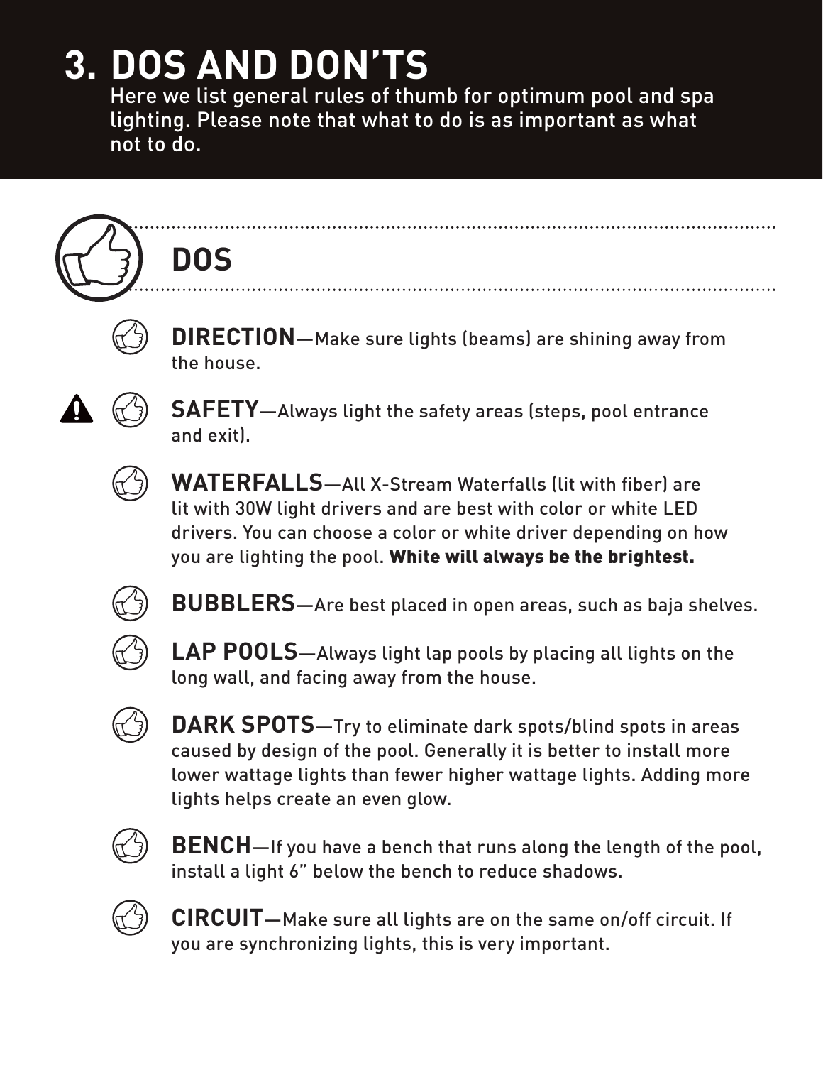# **3. DOS AND DON'TS**

Here we list general rules of thumb for optimum pool and spa lighting. Please note that what to do is as important as what not to do.



**DIRECTION**—Make sure lights (beams) are shining away from the house.



**SAFETY**—Always light the safety areas (steps, pool entrance and exit).



**WATERFALLS**—All X-Stream Waterfalls (lit with fiber) are lit with 30W light drivers and are best with color or white LED drivers. You can choose a color or white driver depending on how you are lighting the pool. White will always be the brightest.



**BUBBLERS**—Are best placed in open areas, such as baja shelves.



**LAP POOLS**—Always light lap pools by placing all lights on the long wall, and facing away from the house.



**DARK SPOTS**—Try to eliminate dark spots/blind spots in areas caused by design of the pool. Generally it is better to install more lower wattage lights than fewer higher wattage lights. Adding more lights helps create an even glow.



**BENCH**—If you have a bench that runs along the length of the pool, install a light 6" below the bench to reduce shadows.



**CIRCUIT**—Make sure all lights are on the same on/off circuit. If you are synchronizing lights, this is very important.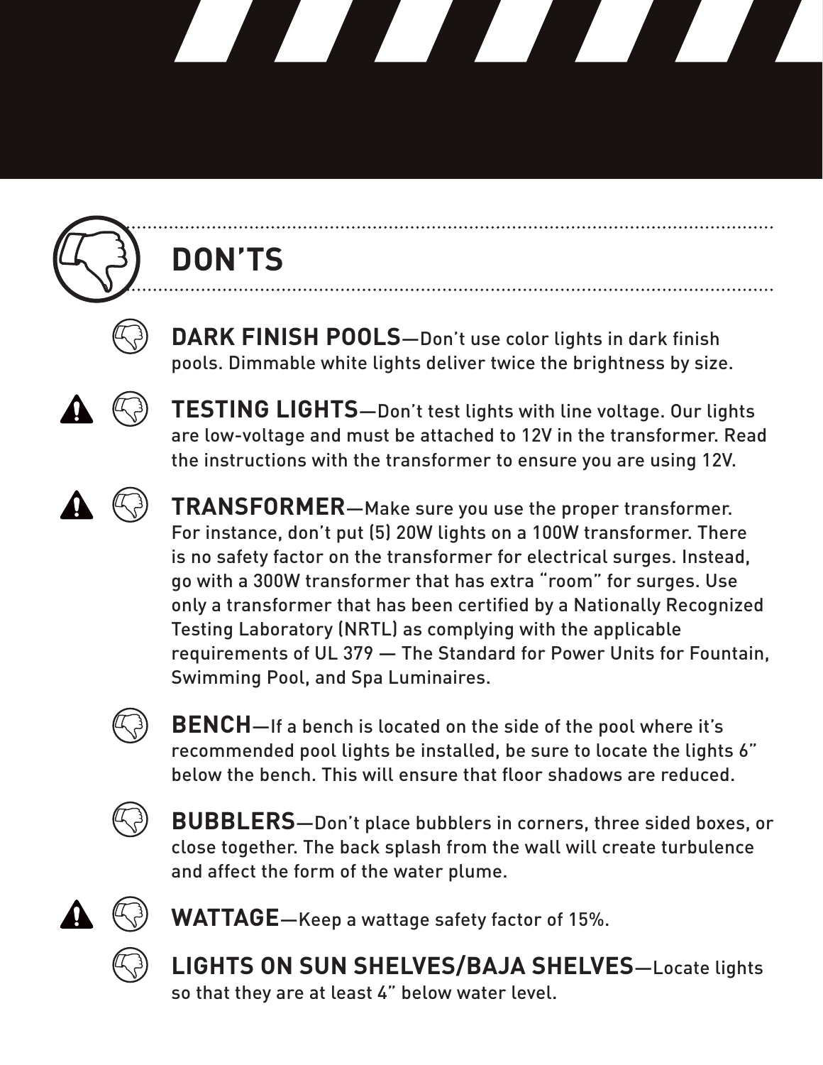



**DARK FINISH POOLS**—Don't use color lights in dark finish pools. Dimmable white lights deliver twice the brightness by size.



**TESTING LIGHTS**—Don't test lights with line voltage. Our lights are low-voltage and must be attached to 12V in the transformer. Read the instructions with the transformer to ensure you are using 12V.



**TRANSFORMER**—Make sure you use the proper transformer. For instance, don't put (5) 20W lights on a 100W transformer. There is no safety factor on the transformer for electrical surges. Instead, go with a 300W transformer that has extra "room" for surges. Use only a transformer that has been certified by a Nationally Recognized Testing Laboratory (NRTL) as complying with the applicable requirements of UL 379 — The Standard for Power Units for Fountain, Swimming Pool, and Spa Luminaires.



**BENCH**—If a bench is located on the side of the pool where it's recommended pool lights be installed, be sure to locate the lights 6" below the bench. This will ensure that floor shadows are reduced.



**BUBBLERS**—Don't place bubblers in corners, three sided boxes, or close together. The back splash from the wall will create turbulence and affect the form of the water plume.



**WATTAGE**—Keep a wattage safety factor of 15%.



**LIGHTS ON SUN SHELVES/BAJA SHELVES**—Locate lights so that they are at least 4" below water level.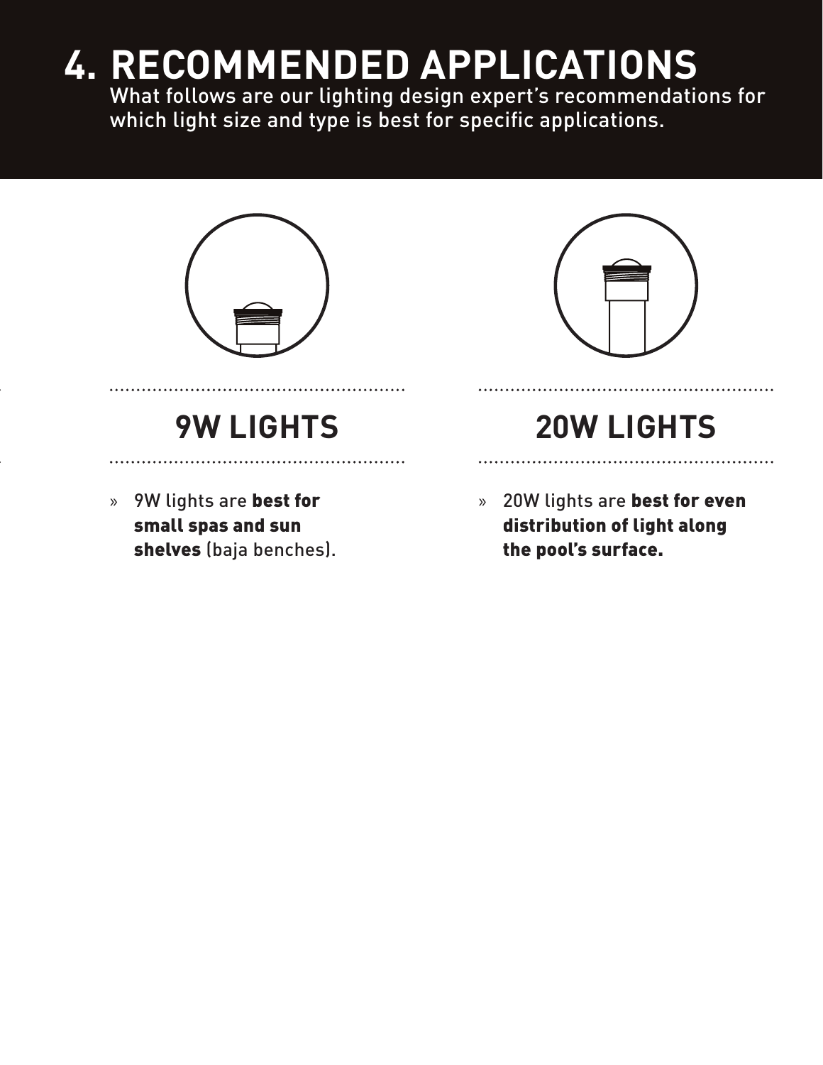# **4. RECOMMENDED APPLICATIONS**

What follows are our lighting design expert's recommendations for which light size and type is best for specific applications.



» 9W lights are best for small spas and sun shelves (baja benches).



### **9W LIGHTS 20W LIGHTS**

» 20W lights are best for even distribution of light along the pool's surface.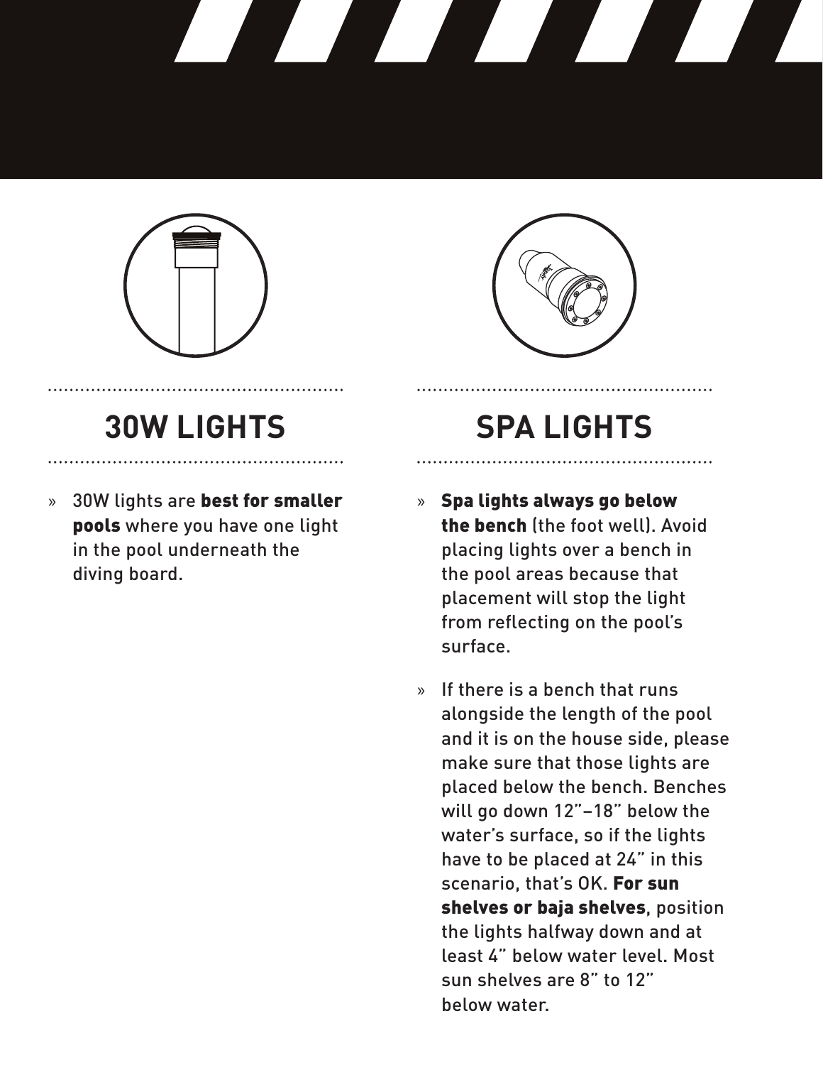

### **30W LIGHTS SPA LIGHTS**

» 30W lights are best for smaller pools where you have one light in the pool underneath the diving board.



- » Spa lights always go below the bench (the foot well). Avoid placing lights over a bench in the pool areas because that placement will stop the light from reflecting on the pool's surface.
- » If there is a bench that runs alongside the length of the pool and it is on the house side, please make sure that those lights are placed below the bench. Benches will go down 12"–18" below the water's surface, so if the lights have to be placed at 24" in this scenario, that's OK. For sun shelves or baja shelves, position the lights halfway down and at least 4" below water level. Most sun shelves are 8" to 12" below water.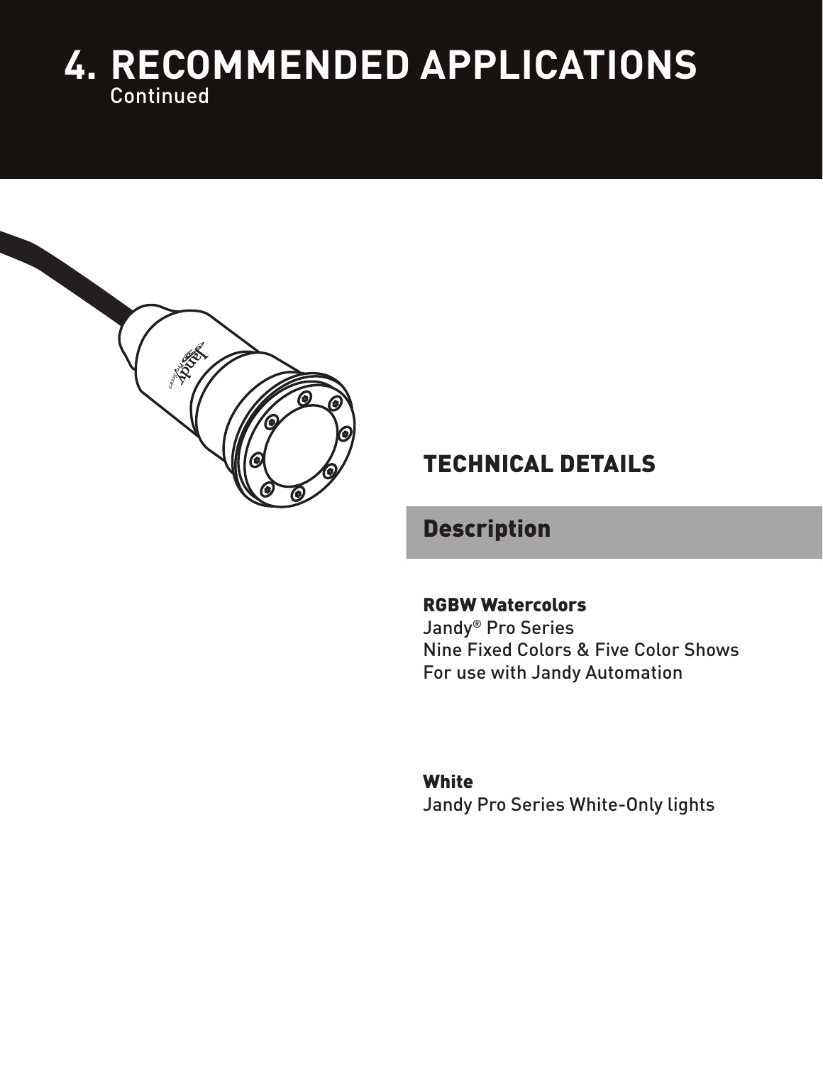### **4. RECOMMENDED APPLICATIONS** Continued



### TECHNICAL DETAILS

### **Description**

### RGBW Watercolors

Jandy® Pro Series Nine Fixed Colors & Five Color Shows For use with Jandy Automation

### **White**

Jandy Pro Series White-Only lights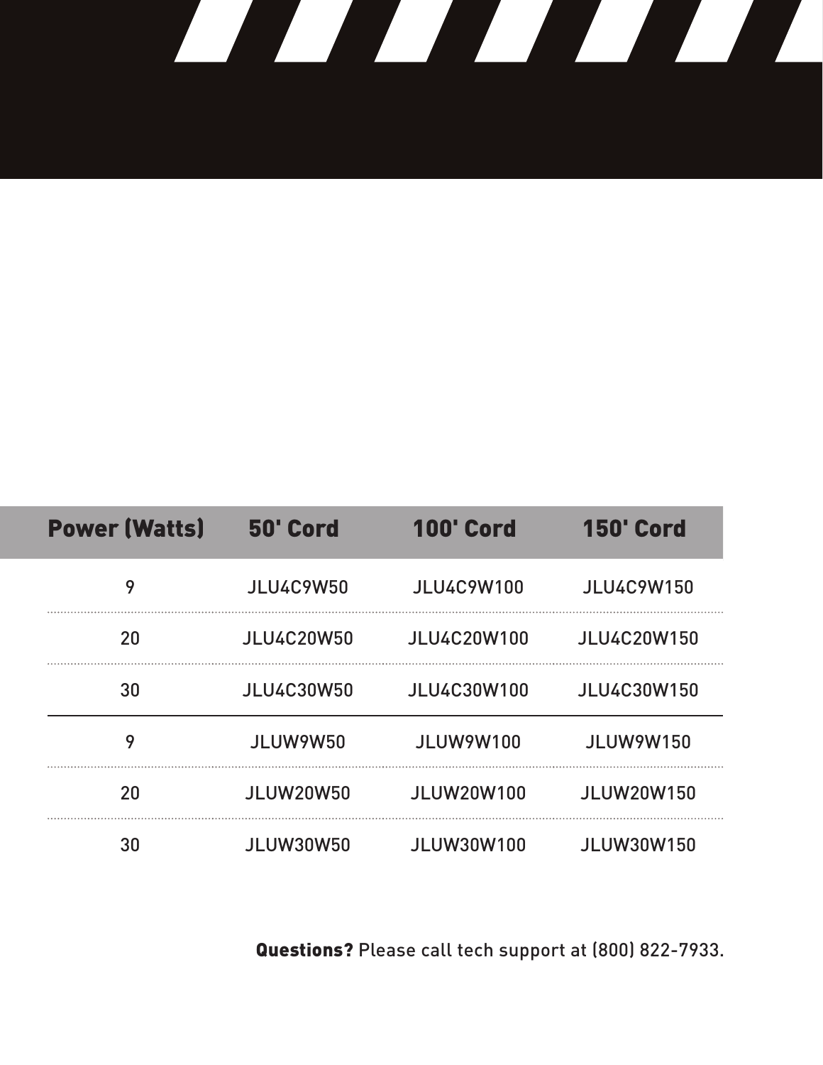| <b>Power (Watts)</b> | 50' Cord          | <b>100' Cord</b>  | <b>150' Cord</b>  |
|----------------------|-------------------|-------------------|-------------------|
| 9                    | <b>JLU4C9W50</b>  | <b>JLU4C9W100</b> | <b>JLU4C9W150</b> |
| 20                   | <b>JLU4C20W50</b> | JLU4C20W100       | JLU4C20W150       |
| 30                   | <b>JLU4C30W50</b> | JLU4C30W100       | JLU4C30W150       |
| O                    | JLUW9W50          | <b>JLUW9W100</b>  | <b>JLUW9W150</b>  |
| 20                   | JLUW20W50         | JLUW20W100        | JLUW20W150        |
| 30                   | JLUW30W50         | JLUW30W100        | JLUW30W150        |

Questions? Please call tech support at (800) 822-7933.